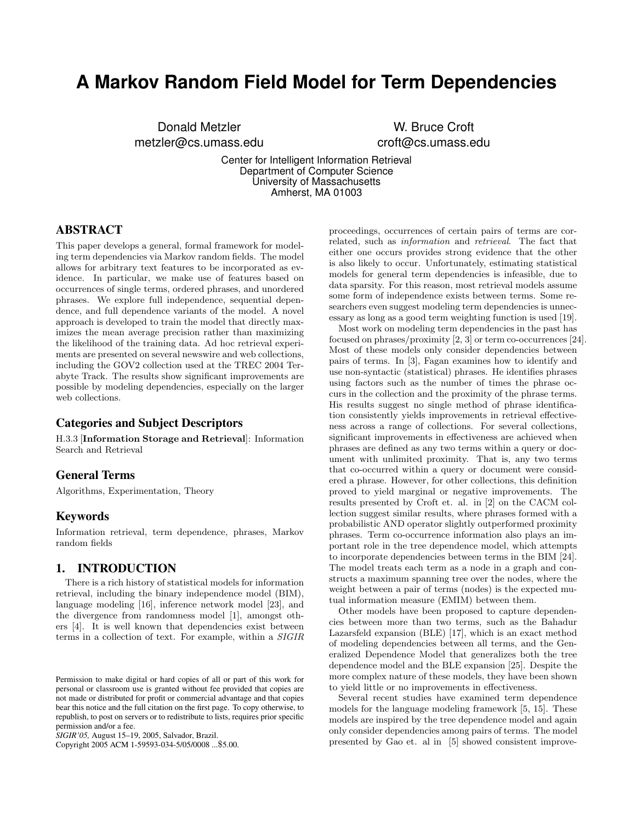# **A Markov Random Field Model for Term Dependencies**

Donald Metzler metzler@cs.umass.edu

W. Bruce Croft croft@cs.umass.edu

Center for Intelligent Information Retrieval Department of Computer Science University of Massachusetts Amherst, MA 01003

# **ABSTRACT**

This paper develops a general, formal framework for modeling term dependencies via Markov random fields. The model allows for arbitrary text features to be incorporated as evidence. In particular, we make use of features based on occurrences of single terms, ordered phrases, and unordered phrases. We explore full independence, sequential dependence, and full dependence variants of the model. A novel approach is developed to train the model that directly maximizes the mean average precision rather than maximizing the likelihood of the training data. Ad hoc retrieval experiments are presented on several newswire and web collections, including the GOV2 collection used at the TREC 2004 Terabyte Track. The results show significant improvements are possible by modeling dependencies, especially on the larger web collections.

# **Categories and Subject Descriptors**

H.3.3 [Information Storage and Retrieval]: Information Search and Retrieval

## **General Terms**

Algorithms, Experimentation, Theory

## **Keywords**

Information retrieval, term dependence, phrases, Markov random fields

## **1. INTRODUCTION**

There is a rich history of statistical models for information retrieval, including the binary independence model (BIM), language modeling [16], inference network model [23], and the divergence from randomness model [1], amongst others [4]. It is well known that dependencies exist between terms in a collection of text. For example, within a SIGIR

Copyright 2005 ACM 1-59593-034-5/05/0008 ...\$5.00.

proceedings, occurrences of certain pairs of terms are correlated, such as information and retrieval. The fact that either one occurs provides strong evidence that the other is also likely to occur. Unfortunately, estimating statistical models for general term dependencies is infeasible, due to data sparsity. For this reason, most retrieval models assume some form of independence exists between terms. Some researchers even suggest modeling term dependencies is unnecessary as long as a good term weighting function is used [19].

Most work on modeling term dependencies in the past has focused on phrases/proximity [2, 3] or term co-occurrences [24]. Most of these models only consider dependencies between pairs of terms. In [3], Fagan examines how to identify and use non-syntactic (statistical) phrases. He identifies phrases using factors such as the number of times the phrase occurs in the collection and the proximity of the phrase terms. His results suggest no single method of phrase identification consistently yields improvements in retrieval effectiveness across a range of collections. For several collections, significant improvements in effectiveness are achieved when phrases are defined as any two terms within a query or document with unlimited proximity. That is, any two terms that co-occurred within a query or document were considered a phrase. However, for other collections, this definition proved to yield marginal or negative improvements. The results presented by Croft et. al. in [2] on the CACM collection suggest similar results, where phrases formed with a probabilistic AND operator slightly outperformed proximity phrases. Term co-occurrence information also plays an important role in the tree dependence model, which attempts to incorporate dependencies between terms in the BIM [24]. The model treats each term as a node in a graph and constructs a maximum spanning tree over the nodes, where the weight between a pair of terms (nodes) is the expected mutual information measure (EMIM) between them.

Other models have been proposed to capture dependencies between more than two terms, such as the Bahadur Lazarsfeld expansion (BLE) [17], which is an exact method of modeling dependencies between all terms, and the Generalized Dependence Model that generalizes both the tree dependence model and the BLE expansion [25]. Despite the more complex nature of these models, they have been shown to yield little or no improvements in effectiveness.

Several recent studies have examined term dependence models for the language modeling framework [5, 15]. These models are inspired by the tree dependence model and again only consider dependencies among pairs of terms. The model presented by Gao et. al in [5] showed consistent improve-

Permission to make digital or hard copies of all or part of this work for personal or classroom use is granted without fee provided that copies are not made or distributed for profit or commercial advantage and that copies bear this notice and the full citation on the first page. To copy otherwise, to republish, to post on servers or to redistribute to lists, requires prior specific permission and/or a fee.

*SIGIR'05,* August 15–19, 2005, Salvador, Brazil.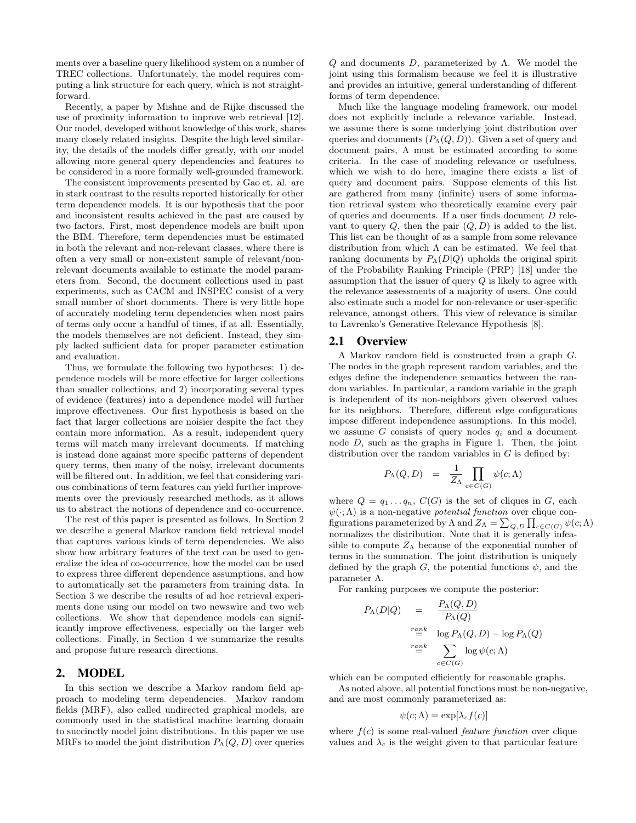ments over a baseline query likelihood system on a number of TREC collections. Unfortunately, the model requires computing a link structure for each query, which is not straightforward.

Recently, a paper by Mishne and de Rijke discussed the use of proximity information to improve web retrieval [12]. Our model, developed without knowledge of this work, shares many closely related insights. Despite the high level similarity, the details of the models differ greatly, with our model allowing more general query dependencies and features to be considered in a more formally well-grounded framework.

The consistent improvements presented by Gao et. al. are in stark contrast to the results reported historically for other term dependence models. It is our hypothesis that the poor and inconsistent results achieved in the past are caused by two factors. First, most dependence models are built upon the BIM. Therefore, term dependencies must be estimated in both the relevant and non-relevant classes, where there is often a very small or non-existent sample of relevant/nonrelevant documents available to estimate the model parameters from. Second, the document collections used in past experiments, such as CACM and INSPEC consist of a very small number of short documents. There is very little hope of accurately modeling term dependencies when most pairs of terms only occur a handful of times, if at all. Essentially, the models themselves are not deficient. Instead, they simply lacked sufficient data for proper parameter estimation and evaluation.

Thus, we formulate the following two hypotheses: 1) dependence models will be more effective for larger collections than smaller collections, and 2) incorporating several types of evidence (features) into a dependence model will further improve effectiveness. Our first hypothesis is based on the fact that larger collections are noisier despite the fact they contain more information. As a result, independent query terms will match many irrelevant documents. If matching is instead done against more specific patterns of dependent query terms, then many of the noisy, irrelevant documents will be filtered out. In addition, we feel that considering various combinations of term features can yield further improvements over the previously researched methods, as it allows us to abstract the notions of dependence and co-occurrence.

The rest of this paper is presented as follows. In Section 2 we describe a general Markov random field retrieval model that captures various kinds of term dependencies. We also show how arbitrary features of the text can be used to generalize the idea of co-occurrence, how the model can be used to express three different dependence assumptions, and how to automatically set the parameters from training data. In Section 3 we describe the results of ad hoc retrieval experiments done using our model on two newswire and two web collections. We show that dependence models can significantly improve effectiveness, especially on the larger web collections. Finally, in Section 4 we summarize the results and propose future research directions.

#### **2. MODEL**

In this section we describe a Markov random field approach to modeling term dependencies. Markov random fields (MRF), also called undirected graphical models, are commonly used in the statistical machine learning domain to succinctly model joint distributions. In this paper we use MRFs to model the joint distribution  $P_{\Lambda}(Q, D)$  over queries  $Q$  and documents  $D$ , parameterized by  $\Lambda$ . We model the joint using this formalism because we feel it is illustrative and provides an intuitive, general understanding of different forms of term dependence.

Much like the language modeling framework, our model does not explicitly include a relevance variable. Instead, we assume there is some underlying joint distribution over queries and documents  $(P_{\Lambda}(Q, D))$ . Given a set of query and document pairs,  $\Lambda$  must be estimated according to some criteria. In the case of modeling relevance or usefulness, which we wish to do here, imagine there exists a list of query and document pairs. Suppose elements of this list are gathered from many (infinite) users of some information retrieval system who theoretically examine every pair of queries and documents. If a user finds document  $D$  relevant to query  $Q$ , then the pair  $(Q, D)$  is added to the list. This list can be thought of as a sample from some relevance distribution from which  $\Lambda$  can be estimated. We feel that ranking documents by  $P_{\Lambda}(D|Q)$  upholds the original spirit of the Probability Ranking Principle (PRP) [18] under the assumption that the issuer of query  $Q$  is likely to agree with the relevance assessments of a majority of users. One could also estimate such a model for non-relevance or user-specific relevance, amongst others. This view of relevance is similar to Lavrenko's Generative Relevance Hypothesis [8].

### **2.1 Overview**

A Markov random field is constructed from a graph G. The nodes in the graph represent random variables, and the edges define the independence semantics between the random variables. In particular, a random variable in the graph is independent of its non-neighbors given observed values for its neighbors. Therefore, different edge configurations impose different independence assumptions. In this model, we assume G consists of query nodes  $q_i$  and a document node D, such as the graphs in Figure 1. Then, the joint distribution over the random variables in  $G$  is defined by:

$$
P_{\Lambda}(Q, D) = \frac{1}{Z_{\Lambda}} \prod_{c \in C(G)} \psi(c; \Lambda)
$$

where  $Q = q_1 \ldots q_n$ ,  $C(G)$  is the set of cliques in G, each  $\psi(\cdot; \Lambda)$  is a non-negative *potential function* over clique configurations parameterized by  $\Lambda$  and  $Z_{\Lambda} = \sum_{Q,D} \prod_{c \in C(G)} \psi(c; \Lambda)$ normalizes the distribution. Note that it is generally infeasible to compute  $Z_{\Lambda}$  because of the exponential number of terms in the summation. The joint distribution is uniquely defined by the graph G, the potential functions  $\psi$ , and the parameter Λ.

For ranking purposes we compute the posterior:

$$
P_{\Lambda}(D|Q) = \frac{P_{\Lambda}(Q, D)}{P_{\Lambda}(Q)}
$$
  

$$
\stackrel{rank}{=} \log P_{\Lambda}(Q, D) - \log P_{\Lambda}(Q)
$$
  

$$
\stackrel{rank}{=} \sum_{c \in C(G)} \log \psi(c; \Lambda)
$$

which can be computed efficiently for reasonable graphs.

As noted above, all potential functions must be non-negative, and are most commonly parameterized as:

$$
\psi(c;\Lambda) = \exp[\lambda_c f(c)]
$$

where  $f(c)$  is some real-valued *feature function* over clique values and  $\lambda_c$  is the weight given to that particular feature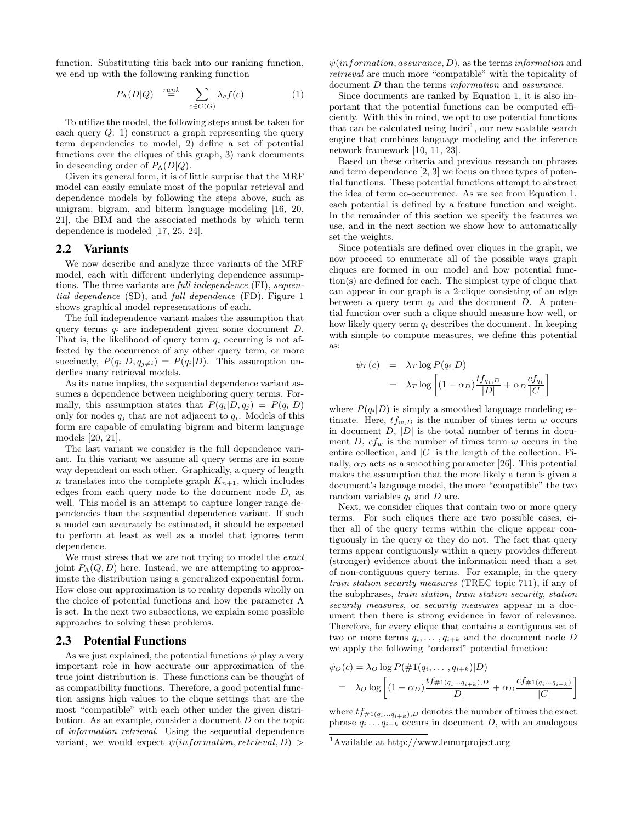function. Substituting this back into our ranking function, we end up with the following ranking function

$$
P_{\Lambda}(D|Q) \stackrel{ramk}{=} \sum_{c \in C(G)} \lambda_c f(c) \tag{1}
$$

To utilize the model, the following steps must be taken for each query  $Q: 1$  construct a graph representing the query term dependencies to model, 2) define a set of potential functions over the cliques of this graph, 3) rank documents in descending order of  $P_{\Lambda}(D|Q)$ .

Given its general form, it is of little surprise that the MRF model can easily emulate most of the popular retrieval and dependence models by following the steps above, such as unigram, bigram, and biterm language modeling [16, 20, 21], the BIM and the associated methods by which term dependence is modeled [17, 25, 24].

#### **2.2 Variants**

We now describe and analyze three variants of the MRF model, each with different underlying dependence assumptions. The three variants are full independence (FI), sequential dependence (SD), and full dependence (FD). Figure 1 shows graphical model representations of each.

The full independence variant makes the assumption that query terms  $q_i$  are independent given some document D. That is, the likelihood of query term  $q_i$  occurring is not affected by the occurrence of any other query term, or more succinctly,  $P(q_i|D, q_{i\neq i}) = P(q_i|D)$ . This assumption underlies many retrieval models.

As its name implies, the sequential dependence variant assumes a dependence between neighboring query terms. Formally, this assumption states that  $P(q_i|D, q_j) = P(q_i|D)$ only for nodes  $q_i$  that are not adjacent to  $q_i$ . Models of this form are capable of emulating bigram and biterm language models [20, 21].

The last variant we consider is the full dependence variant. In this variant we assume all query terms are in some way dependent on each other. Graphically, a query of length n translates into the complete graph  $K_{n+1}$ , which includes edges from each query node to the document node  $D$ , as well. This model is an attempt to capture longer range dependencies than the sequential dependence variant. If such a model can accurately be estimated, it should be expected to perform at least as well as a model that ignores term dependence.

We must stress that we are not trying to model the exact joint  $P_{\Lambda}(Q, D)$  here. Instead, we are attempting to approximate the distribution using a generalized exponential form. How close our approximation is to reality depends wholly on the choice of potential functions and how the parameter  $\Lambda$ is set. In the next two subsections, we explain some possible approaches to solving these problems.

#### **2.3 Potential Functions**

As we just explained, the potential functions  $\psi$  play a very important role in how accurate our approximation of the true joint distribution is. These functions can be thought of as compatibility functions. Therefore, a good potential function assigns high values to the clique settings that are the most "compatible" with each other under the given distribution. As an example, consider a document  $D$  on the topic of information retrieval. Using the sequential dependence variant, we would expect  $\psi(information, retrieval, D) >$ 

 $\psi(information, assurance, D)$ , as the terms *information* and retrieval are much more "compatible" with the topicality of document D than the terms information and assurance.

Since documents are ranked by Equation 1, it is also important that the potential functions can be computed efficiently. With this in mind, we opt to use potential functions that can be calculated using  $Indri<sup>1</sup>$ , our new scalable search engine that combines language modeling and the inference network framework [10, 11, 23].

Based on these criteria and previous research on phrases and term dependence [2, 3] we focus on three types of potential functions. These potential functions attempt to abstract the idea of term co-occurrence. As we see from Equation 1, each potential is defined by a feature function and weight. In the remainder of this section we specify the features we use, and in the next section we show how to automatically set the weights.

Since potentials are defined over cliques in the graph, we now proceed to enumerate all of the possible ways graph cliques are formed in our model and how potential function(s) are defined for each. The simplest type of clique that can appear in our graph is a 2-clique consisting of an edge between a query term  $q_i$  and the document D. A potential function over such a clique should measure how well, or how likely query term  $q_i$  describes the document. In keeping with simple to compute measures, we define this potential as:

$$
\psi_T(c) = \lambda_T \log P(q_i|D)
$$
  
=  $\lambda_T \log \left[ (1 - \alpha_D) \frac{tf_{q_i,D}}{|D|} + \alpha_D \frac{cf_{q_i}}{|C|} \right]$ 

where  $P(q_i|D)$  is simply a smoothed language modeling estimate. Here,  $tf_{w,D}$  is the number of times term w occurs in document  $D$ ,  $|D|$  is the total number of terms in document D,  $cf_w$  is the number of times term w occurs in the entire collection, and  $|C|$  is the length of the collection. Finally,  $\alpha_D$  acts as a smoothing parameter [26]. This potential makes the assumption that the more likely a term is given a document's language model, the more "compatible" the two random variables  $q_i$  and D are.

Next, we consider cliques that contain two or more query terms. For such cliques there are two possible cases, either all of the query terms within the clique appear contiguously in the query or they do not. The fact that query terms appear contiguously within a query provides different (stronger) evidence about the information need than a set of non-contiguous query terms. For example, in the query train station security measures (TREC topic 711), if any of the subphrases, train station, train station security, station security measures, or security measures appear in a document then there is strong evidence in favor of relevance. Therefore, for every clique that contains a contiguous set of two or more terms  $q_i, \ldots, q_{i+k}$  and the document node D we apply the following "ordered" potential function:

$$
\psi_O(c) = \lambda_O \log P(\#1(q_i, \dots, q_{i+k})|D)
$$
  
= 
$$
\lambda_O \log \left[ (1 - \alpha_D) \frac{tf_{\#1(q_i \dots q_{i+k}), D}}{|D|} + \alpha_D \frac{cf_{\#1(q_i \dots q_{i+k})}}{|C|} \right]
$$

where  $tf_{\#1(q_i...q_{i+k}),D}$  denotes the number of times the exact phrase  $q_i \ldots q_{i+k}$  occurs in document D, with an analogous

<sup>1</sup>Available at http://www.lemurproject.org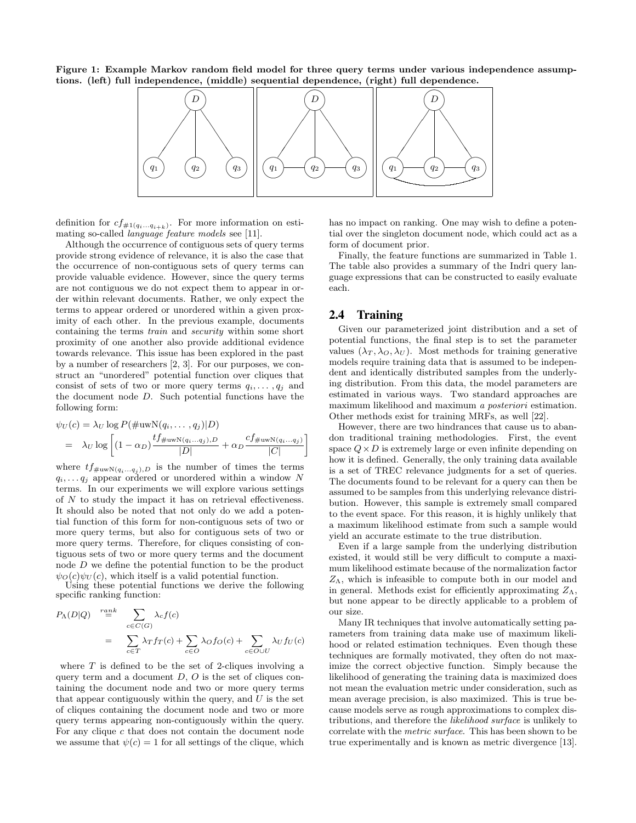Figure 1: Example Markov random field model for three query terms under various independence assumptions. (left) full independence, (middle) sequential dependence, (right) full dependence.



definition for  $cf_{\#1(q_i...q_{i+k})}$ . For more information on estimating so-called *language feature models* see [11].

Although the occurrence of contiguous sets of query terms provide strong evidence of relevance, it is also the case that the occurrence of non-contiguous sets of query terms can provide valuable evidence. However, since the query terms are not contiguous we do not expect them to appear in order within relevant documents. Rather, we only expect the terms to appear ordered or unordered within a given proximity of each other. In the previous example, documents containing the terms train and security within some short proximity of one another also provide additional evidence towards relevance. This issue has been explored in the past by a number of researchers [2, 3]. For our purposes, we construct an "unordered" potential function over cliques that consist of sets of two or more query terms  $q_i, \ldots, q_j$  and the document node D. Such potential functions have the following form:

$$
\psi_U(c) = \lambda_U \log P(\#uwN(q_i, ..., q_j)|D)
$$
  
=  $\lambda_U \log \left[ (1 - \alpha_D) \frac{tf_{\#uwN(q_i...q_j),D}}{|D|} + \alpha_D \frac{cf_{\#uwN(q_i...q_j)}}{|C|} \right]$ 

where  $tf_{\#uwN(q_i...q_j),D}$  is the number of times the terms  $q_i, \ldots q_j$  appear ordered or unordered within a window N terms. In our experiments we will explore various settings of N to study the impact it has on retrieval effectiveness. It should also be noted that not only do we add a potential function of this form for non-contiguous sets of two or more query terms, but also for contiguous sets of two or more query terms. Therefore, for cliques consisting of contiguous sets of two or more query terms and the document node D we define the potential function to be the product  $\psi_O(c)\psi_U(c)$ , which itself is a valid potential function.

Using these potential functions we derive the following specific ranking function:

$$
P_{\Lambda}(D|Q) \stackrel{rank}{=} \sum_{c \in C(G)} \lambda_c f(c)
$$
  
= 
$$
\sum_{c \in T} \lambda_T f_T(c) + \sum_{c \in O} \lambda_O f_O(c) + \sum_{c \in O \cup U} \lambda_U f_U(c)
$$

where  $T$  is defined to be the set of 2-cliques involving a query term and a document  $D, O$  is the set of cliques containing the document node and two or more query terms that appear contiguously within the query, and  $U$  is the set of cliques containing the document node and two or more query terms appearing non-contiguously within the query. For any clique  $c$  that does not contain the document node we assume that  $\psi(c) = 1$  for all settings of the clique, which has no impact on ranking. One may wish to define a potential over the singleton document node, which could act as a form of document prior.

Finally, the feature functions are summarized in Table 1. The table also provides a summary of the Indri query language expressions that can be constructed to easily evaluate each.

## **2.4 Training**

Given our parameterized joint distribution and a set of potential functions, the final step is to set the parameter values  $(\lambda_T, \lambda_O, \lambda_U)$ . Most methods for training generative models require training data that is assumed to be independent and identically distributed samples from the underlying distribution. From this data, the model parameters are estimated in various ways. Two standard approaches are maximum likelihood and maximum a posteriori estimation. Other methods exist for training MRFs, as well [22].

However, there are two hindrances that cause us to abandon traditional training methodologies. First, the event space  $Q \times D$  is extremely large or even infinite depending on how it is defined. Generally, the only training data available is a set of TREC relevance judgments for a set of queries. The documents found to be relevant for a query can then be assumed to be samples from this underlying relevance distribution. However, this sample is extremely small compared to the event space. For this reason, it is highly unlikely that a maximum likelihood estimate from such a sample would yield an accurate estimate to the true distribution.

Even if a large sample from the underlying distribution existed, it would still be very difficult to compute a maximum likelihood estimate because of the normalization factor  $Z_{\Lambda}$ , which is infeasible to compute both in our model and in general. Methods exist for efficiently approximating  $Z_{\Lambda}$ , but none appear to be directly applicable to a problem of our size.

Many IR techniques that involve automatically setting parameters from training data make use of maximum likelihood or related estimation techniques. Even though these techniques are formally motivated, they often do not maximize the correct objective function. Simply because the likelihood of generating the training data is maximized does not mean the evaluation metric under consideration, such as mean average precision, is also maximized. This is true because models serve as rough approximations to complex distributions, and therefore the likelihood surface is unlikely to correlate with the metric surface. This has been shown to be true experimentally and is known as metric divergence [13].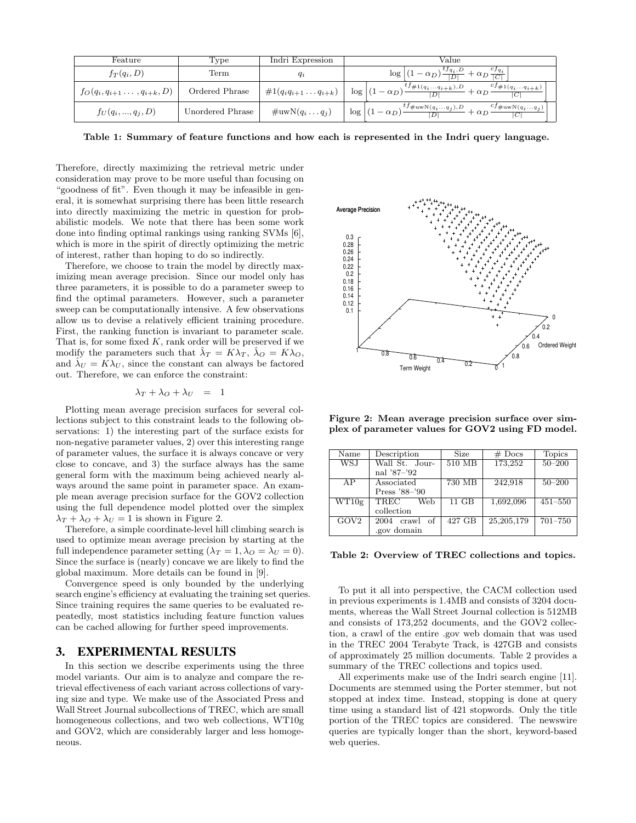| Feature                                | Type             | Indri Expression                | Value                                                                                                        |  |  |
|----------------------------------------|------------------|---------------------------------|--------------------------------------------------------------------------------------------------------------|--|--|
| $f_T(q_i, D)$                          | $\mathrm{Term}$  | $\it{q_i}$                      | $\log  (1-\alpha_D)\frac{t_{q_i,D}}{ D }$ .<br>$+\alpha_D \frac{c_{Jq_i}}{ C }$                              |  |  |
| $f_O(q_i, q_{i+1} \ldots, q_{i+k}, D)$ | Ordered Phrase   | $\#1(q_iq_{i+1}\ldots q_{i+k})$ | $^{t}J\#1(q_iq_{i+k}), D$<br>$c_{j\#1(q_iq_{i+k})}$<br>$\log  (1-\alpha_D) $<br>$+$ $\alpha_D$               |  |  |
| $f_U(q_i, , q_i, D)$                   | Unordered Phrase | $\#\text{uwN}(q_iq_j)$          | $t^f \#u w N(q_iq_j), D$<br>$cf_{\#uwN(q_iq_j)}$<br>$\log   (1 - \alpha_D)$<br>$+\alpha_D$<br>D <sub>1</sub> |  |  |

Table 1: Summary of feature functions and how each is represented in the Indri query language.

Therefore, directly maximizing the retrieval metric under consideration may prove to be more useful than focusing on "goodness of fit". Even though it may be infeasible in general, it is somewhat surprising there has been little research into directly maximizing the metric in question for probabilistic models. We note that there has been some work done into finding optimal rankings using ranking SVMs [6], which is more in the spirit of directly optimizing the metric of interest, rather than hoping to do so indirectly.

Therefore, we choose to train the model by directly maximizing mean average precision. Since our model only has three parameters, it is possible to do a parameter sweep to find the optimal parameters. However, such a parameter sweep can be computationally intensive. A few observations allow us to devise a relatively efficient training procedure. First, the ranking function is invariant to parameter scale. That is, for some fixed  $K$ , rank order will be preserved if we modify the parameters such that  $\lambda_T = K \lambda_T$ ,  $\lambda_O = K \lambda_O$ , and  $\lambda_U = K \lambda_U$ , since the constant can always be factored out. Therefore, we can enforce the constraint:

$$
\lambda_T + \lambda_O + \lambda_U = 1
$$

Plotting mean average precision surfaces for several collections subject to this constraint leads to the following observations: 1) the interesting part of the surface exists for non-negative parameter values, 2) over this interesting range of parameter values, the surface it is always concave or very close to concave, and 3) the surface always has the same general form with the maximum being achieved nearly always around the same point in parameter space. An example mean average precision surface for the GOV2 collection using the full dependence model plotted over the simplex  $\lambda_T + \lambda_O + \lambda_U = 1$  is shown in Figure 2.

Therefore, a simple coordinate-level hill climbing search is used to optimize mean average precision by starting at the full independence parameter setting  $(\lambda_T = 1, \lambda_O = \lambda_U = 0)$ . Since the surface is (nearly) concave we are likely to find the global maximum. More details can be found in [9].

Convergence speed is only bounded by the underlying search engine's efficiency at evaluating the training set queries. Since training requires the same queries to be evaluated repeatedly, most statistics including feature function values can be cached allowing for further speed improvements.

## **3. EXPERIMENTAL RESULTS**

In this section we describe experiments using the three model variants. Our aim is to analyze and compare the retrieval effectiveness of each variant across collections of varying size and type. We make use of the Associated Press and Wall Street Journal subcollections of TREC, which are small homogeneous collections, and two web collections, WT10g and GOV2, which are considerably larger and less homogeneous.



Figure 2: Mean average precision surface over simplex of parameter values for GOV2 using FD model.

| Name       | Description      | Size                    | $#$ Docs     | <b>Topics</b> |  |
|------------|------------------|-------------------------|--------------|---------------|--|
| <b>WSJ</b> | Wall St. Jour-   | $510 \overline{\rm MB}$ | 173,252      | $50 - 200$    |  |
|            | nal '87-'92      |                         |              |               |  |
| AP         | Associated       | 730 MB                  | 242,918      | $50 - 200$    |  |
|            | Press '88-'90    |                         |              |               |  |
| WT10g      | TREC<br>Web      | $11$ GB                 | 1,692,096    | $451 - 550$   |  |
|            | collection       |                         |              |               |  |
| GOV2       | 2004<br>crawl of | 427 GB                  | 25, 205, 179 | $701 - 750$   |  |
|            | .gov domain      |                         |              |               |  |

Table 2: Overview of TREC collections and topics.

To put it all into perspective, the CACM collection used in previous experiments is 1.4MB and consists of 3204 documents, whereas the Wall Street Journal collection is 512MB and consists of 173,252 documents, and the GOV2 collection, a crawl of the entire .gov web domain that was used in the TREC 2004 Terabyte Track, is 427GB and consists of approximately 25 million documents. Table 2 provides a summary of the TREC collections and topics used.

All experiments make use of the Indri search engine [11]. Documents are stemmed using the Porter stemmer, but not stopped at index time. Instead, stopping is done at query time using a standard list of 421 stopwords. Only the title portion of the TREC topics are considered. The newswire queries are typically longer than the short, keyword-based web queries.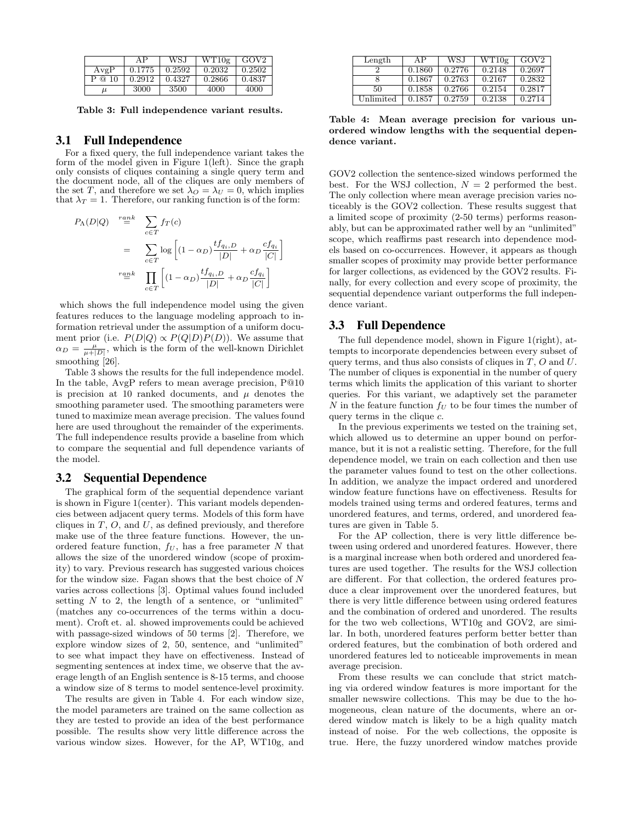|        | ΑP     | WS.J   | WT10g  | GOV <sub>2</sub> |
|--------|--------|--------|--------|------------------|
| AvgP   | 0.1775 | 0.2592 | 0.2032 | 0.2502           |
| P @ 10 | 0.2912 | 0.4327 | 0.2866 | 0.4837           |
| и      | 3000   | 3500   | 4000   | 4000             |

Table 3: Full independence variant results.

# **3.1 Full Independence**

For a fixed query, the full independence variant takes the form of the model given in Figure 1(left). Since the graph only consists of cliques containing a single query term and the document node, all of the cliques are only members of the set T, and therefore we set  $\lambda_O = \lambda_U = 0$ , which implies that  $\lambda_T = 1$ . Therefore, our ranking function is of the form:

$$
P_{\Lambda}(D|Q) \stackrel{rank}{=} \sum_{c \in T} f_T(c)
$$
  
= 
$$
\sum_{c \in T} \log \left[ (1 - \alpha_D) \frac{tf_{q_i, D}}{|D|} + \alpha_D \frac{cf_{q_i}}{|C|} \right]
$$
  

$$
\stackrel{rank}{=} \prod_{c \in T} \left[ (1 - \alpha_D) \frac{tf_{q_i, D}}{|D|} + \alpha_D \frac{cf_{q_i}}{|C|} \right]
$$

which shows the full independence model using the given features reduces to the language modeling approach to information retrieval under the assumption of a uniform document prior (i.e.  $P(D|Q) \propto P(Q|D)P(D)$ ). We assume that  $\alpha_D = \frac{\mu}{\mu + |D|}$ , which is the form of the well-known Dirichlet smoothing [26].

Table 3 shows the results for the full independence model. In the table, AvgP refers to mean average precision, P@10 is precision at 10 ranked documents, and  $\mu$  denotes the smoothing parameter used. The smoothing parameters were tuned to maximize mean average precision. The values found here are used throughout the remainder of the experiments. The full independence results provide a baseline from which to compare the sequential and full dependence variants of the model.

## **3.2 Sequential Dependence**

The graphical form of the sequential dependence variant is shown in Figure 1(center). This variant models dependencies between adjacent query terms. Models of this form have cliques in  $T$ ,  $O$ , and  $U$ , as defined previously, and therefore make use of the three feature functions. However, the unordered feature function,  $f_U$ , has a free parameter N that allows the size of the unordered window (scope of proximity) to vary. Previous research has suggested various choices for the window size. Fagan shows that the best choice of  $N$ varies across collections [3]. Optimal values found included setting  $N$  to 2, the length of a sentence, or "unlimited" (matches any co-occurrences of the terms within a document). Croft et. al. showed improvements could be achieved with passage-sized windows of 50 terms [2]. Therefore, we explore window sizes of 2, 50, sentence, and "unlimited" to see what impact they have on effectiveness. Instead of segmenting sentences at index time, we observe that the average length of an English sentence is 8-15 terms, and choose a window size of 8 terms to model sentence-level proximity.

The results are given in Table 4. For each window size, the model parameters are trained on the same collection as they are tested to provide an idea of the best performance possible. The results show very little difference across the various window sizes. However, for the AP, WT10g, and

| Length    | ΑP     | WS.I   | WT10g  | GOV <sub>2</sub> |
|-----------|--------|--------|--------|------------------|
|           | 0.1860 | 0.2776 | 0.2148 | 0.2697           |
|           | 0.1867 | 0.2763 | 0.2167 | 0.2832           |
| 50        | 0.1858 | 0.2766 | 0.2154 | 0.2817           |
| Unlimited | 0.1857 | 0.2759 | 0.2138 | 0.2714           |

Table 4: Mean average precision for various unordered window lengths with the sequential dependence variant.

GOV2 collection the sentence-sized windows performed the best. For the WSJ collection,  $N = 2$  performed the best. The only collection where mean average precision varies noticeably is the GOV2 collection. These results suggest that a limited scope of proximity (2-50 terms) performs reasonably, but can be approximated rather well by an "unlimited" scope, which reaffirms past research into dependence models based on co-occurrences. However, it appears as though smaller scopes of proximity may provide better performance for larger collections, as evidenced by the GOV2 results. Finally, for every collection and every scope of proximity, the sequential dependence variant outperforms the full independence variant.

## **3.3 Full Dependence**

The full dependence model, shown in Figure 1(right), attempts to incorporate dependencies between every subset of query terms, and thus also consists of cliques in  $T$ ,  $O$  and  $U$ . The number of cliques is exponential in the number of query terms which limits the application of this variant to shorter queries. For this variant, we adaptively set the parameter N in the feature function  $f_U$  to be four times the number of query terms in the clique  $c$ .

In the previous experiments we tested on the training set, which allowed us to determine an upper bound on performance, but it is not a realistic setting. Therefore, for the full dependence model, we train on each collection and then use the parameter values found to test on the other collections. In addition, we analyze the impact ordered and unordered window feature functions have on effectiveness. Results for models trained using terms and ordered features, terms and unordered features, and terms, ordered, and unordered features are given in Table 5.

For the AP collection, there is very little difference between using ordered and unordered features. However, there is a marginal increase when both ordered and unordered features are used together. The results for the WSJ collection are different. For that collection, the ordered features produce a clear improvement over the unordered features, but there is very little difference between using ordered features and the combination of ordered and unordered. The results for the two web collections, WT10g and GOV2, are similar. In both, unordered features perform better better than ordered features, but the combination of both ordered and unordered features led to noticeable improvements in mean average precision.

From these results we can conclude that strict matching via ordered window features is more important for the smaller newswire collections. This may be due to the homogeneous, clean nature of the documents, where an ordered window match is likely to be a high quality match instead of noise. For the web collections, the opposite is true. Here, the fuzzy unordered window matches provide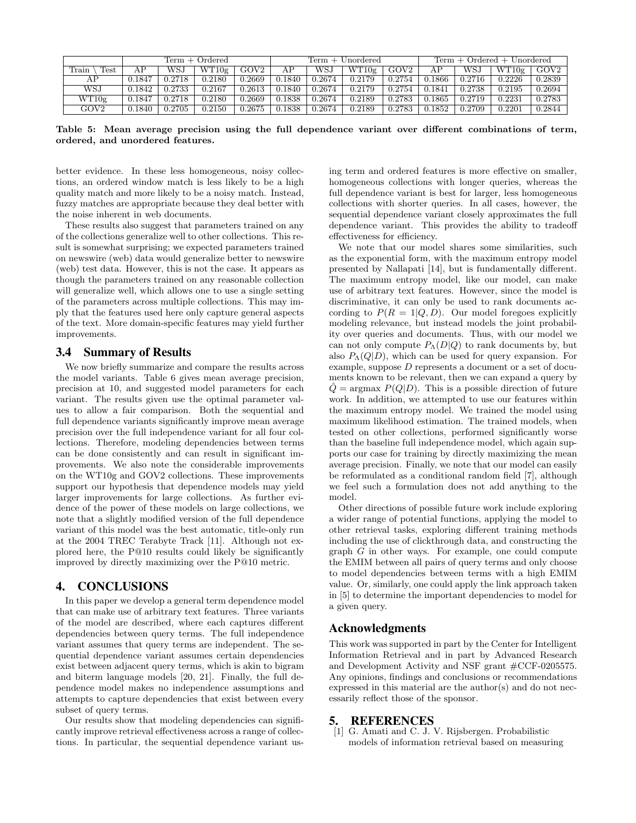|               | $Term + Ordered$ |        |        | Term + Unordered |        |        | $Term + Ordered + Unordered$ |            |        |        |            |                  |
|---------------|------------------|--------|--------|------------------|--------|--------|------------------------------|------------|--------|--------|------------|------------------|
| Test<br>Train | АΡ               | WSJ    | WT10g  | GOV <sub>2</sub> | AΡ     | WSJ    | WT10g                        | GOV2       |        | WS.    | WT10g      | GOV <sub>2</sub> |
| АΡ            | 0.1847           | 0.2718 | 0.2180 | 0.2669           | 0.1840 | 0.2674 | 0.2179                       | 0.2754     | 0.1866 | 0.2716 | 0.2226     | 0.2839           |
| WSJ           | 0.1842           | 0.2733 | 0.2167 | 0.2613           | 0.1840 | 0.2674 | 0.2179                       | 0.2754     | 0.1841 | 0.2738 | 0.2195     | 0.2694           |
| WT10g         | 0.1847           | 0.2718 | 0.2180 | 0.2669           | 0.1838 | 0.2674 | 0.2189                       | 0.2783     | 0.1865 | 0.2719 | ${0.2231}$ | 0.2783           |
| $\rm GOV2$    | 0.1840           | 0.2705 | 0.2150 | 0.2675           | 0.1838 | 0.2674 | 0.2189                       | ${0.2783}$ | 0.1852 | 0.2709 | ${0.2201}$ | 0.2844           |

Table 5: Mean average precision using the full dependence variant over different combinations of term, ordered, and unordered features.

better evidence. In these less homogeneous, noisy collections, an ordered window match is less likely to be a high quality match and more likely to be a noisy match. Instead, fuzzy matches are appropriate because they deal better with the noise inherent in web documents.

These results also suggest that parameters trained on any of the collections generalize well to other collections. This result is somewhat surprising; we expected parameters trained on newswire (web) data would generalize better to newswire (web) test data. However, this is not the case. It appears as though the parameters trained on any reasonable collection will generalize well, which allows one to use a single setting of the parameters across multiple collections. This may imply that the features used here only capture general aspects of the text. More domain-specific features may yield further improvements.

#### **3.4 Summary of Results**

We now briefly summarize and compare the results across the model variants. Table 6 gives mean average precision, precision at 10, and suggested model parameters for each variant. The results given use the optimal parameter values to allow a fair comparison. Both the sequential and full dependence variants significantly improve mean average precision over the full independence variant for all four collections. Therefore, modeling dependencies between terms can be done consistently and can result in significant improvements. We also note the considerable improvements on the WT10g and GOV2 collections. These improvements support our hypothesis that dependence models may yield larger improvements for large collections. As further evidence of the power of these models on large collections, we note that a slightly modified version of the full dependence variant of this model was the best automatic, title-only run at the 2004 TREC Terabyte Track [11]. Although not explored here, the P@10 results could likely be significantly improved by directly maximizing over the P@10 metric.

#### **4. CONCLUSIONS**

In this paper we develop a general term dependence model that can make use of arbitrary text features. Three variants of the model are described, where each captures different dependencies between query terms. The full independence variant assumes that query terms are independent. The sequential dependence variant assumes certain dependencies exist between adjacent query terms, which is akin to bigram and biterm language models [20, 21]. Finally, the full dependence model makes no independence assumptions and attempts to capture dependencies that exist between every subset of query terms.

Our results show that modeling dependencies can significantly improve retrieval effectiveness across a range of collections. In particular, the sequential dependence variant using term and ordered features is more effective on smaller, homogeneous collections with longer queries, whereas the full dependence variant is best for larger, less homogeneous collections with shorter queries. In all cases, however, the sequential dependence variant closely approximates the full dependence variant. This provides the ability to tradeoff effectiveness for efficiency.

We note that our model shares some similarities, such as the exponential form, with the maximum entropy model presented by Nallapati [14], but is fundamentally different. The maximum entropy model, like our model, can make use of arbitrary text features. However, since the model is discriminative, it can only be used to rank documents according to  $P(R = 1|Q, D)$ . Our model foregoes explicitly modeling relevance, but instead models the joint probability over queries and documents. Thus, with our model we can not only compute  $P_{\Lambda}(D|Q)$  to rank documents by, but also  $P_{\Lambda}(Q|D)$ , which can be used for query expansion. For example, suppose D represents a document or a set of documents known to be relevant, then we can expand a query by  $\hat{Q}$  = argmax  $P(Q|D)$ . This is a possible direction of future work. In addition, we attempted to use our features within the maximum entropy model. We trained the model using maximum likelihood estimation. The trained models, when tested on other collections, performed significantly worse than the baseline full independence model, which again supports our case for training by directly maximizing the mean average precision. Finally, we note that our model can easily be reformulated as a conditional random field [7], although we feel such a formulation does not add anything to the model.

Other directions of possible future work include exploring a wider range of potential functions, applying the model to other retrieval tasks, exploring different training methods including the use of clickthrough data, and constructing the graph G in other ways. For example, one could compute the EMIM between all pairs of query terms and only choose to model dependencies between terms with a high EMIM value. Or, similarly, one could apply the link approach taken in [5] to determine the important dependencies to model for a given query.

## **Acknowledgments**

This work was supported in part by the Center for Intelligent Information Retrieval and in part by Advanced Research and Development Activity and NSF grant #CCF-0205575. Any opinions, findings and conclusions or recommendations expressed in this material are the author(s) and do not necessarily reflect those of the sponsor.

#### **5. REFERENCES**

[1] G. Amati and C. J. V. Rijsbergen. Probabilistic models of information retrieval based on measuring